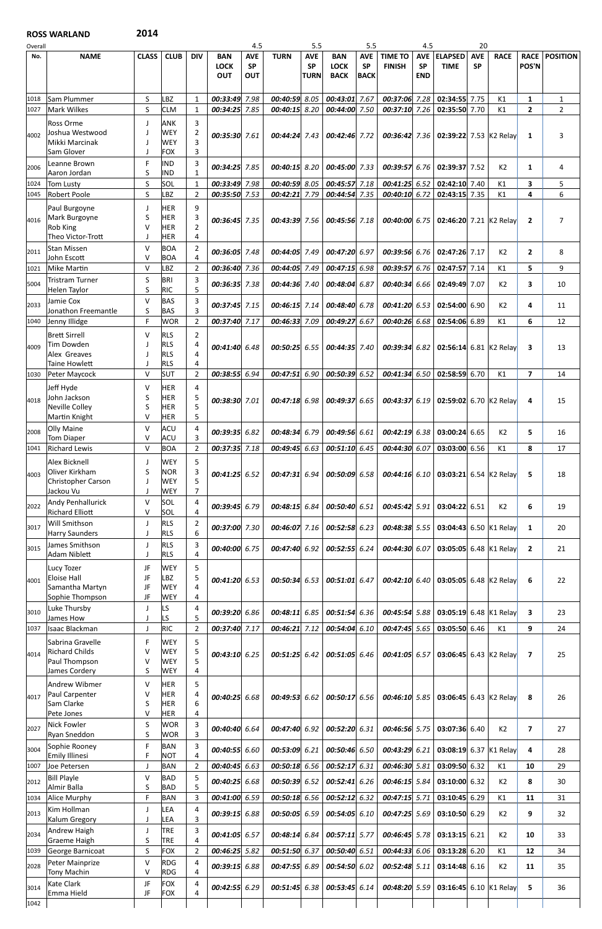## ROSS WARLAND 2014

| Overall      |                                                    |                        |                                        |                     |                                         | 4.5                            |                                    | 5.5                                    |                                          | 5.5                                    |                                 | 4.5                                   |                                                       | 20                      |                |                         |                     |
|--------------|----------------------------------------------------|------------------------|----------------------------------------|---------------------|-----------------------------------------|--------------------------------|------------------------------------|----------------------------------------|------------------------------------------|----------------------------------------|---------------------------------|---------------------------------------|-------------------------------------------------------|-------------------------|----------------|-------------------------|---------------------|
| No.          | <b>NAME</b>                                        | <b>CLASS</b>           | <b>CLUB</b>                            | <b>DIV</b>          | <b>BAN</b><br><b>LOCK</b><br><b>OUT</b> | <b>AVE</b><br><b>SP</b><br>OUT | <b>TURN</b>                        | <b>AVE</b><br><b>SP</b><br><b>TURN</b> | <b>BAN</b><br><b>LOCK</b><br><b>BACK</b> | <b>AVE</b><br><b>SP</b><br><b>BACK</b> | <b>TIME TO</b><br><b>FINISH</b> | <b>AVE</b><br><b>SP</b><br><b>END</b> | <b>ELAPSED</b><br><b>TIME</b>                         | <b>AVE</b><br><b>SP</b> | <b>RACE</b>    | <b>RACE</b><br>POS'N    | <b>POSITION</b>     |
| 1018         | Sam Plummer                                        | S                      | LBZ                                    | 1                   | 00:33:49                                | 7.98                           | 00:40:59                           | 8.05                                   | 00:43:01 7.67                            |                                        | 00:37:06                        | 7.28                                  | 02:34:55                                              | 7.75                    | K1             | 1                       | 1                   |
| 1027<br>4002 | <b>Mark Wilkes</b><br>Ross Orme<br>Joshua Westwood | $\sf S$<br>J           | <b>CLM</b><br><b>ANK</b><br><b>WEY</b> | 1<br>3<br>2         | 00:34:25<br>00:35:30 7.61               | 7.85                           | $00:40:15$ 8.20<br>$00:44:24$ 7.43 |                                        | 00:44:00 7.50<br>00:42:46 7.72           |                                        | $00:37:10$ 7.26                 |                                       | 02:35:50 7.70<br>00:36:42 7.36 02:39:22 7.53 K2 Relay |                         | K1             | $\overline{2}$<br>1     | $\overline{2}$<br>3 |
|              | Mikki Marcinak<br>Sam Glover                       | J<br>J                 | <b>WEY</b><br><b>FOX</b>               | 3<br>3              |                                         |                                |                                    |                                        |                                          |                                        |                                 |                                       |                                                       |                         |                |                         |                     |
| 2006         | Leanne Brown                                       | F                      | <b>IND</b>                             | 3                   | 00:34:25                                | 7.85                           | 00:40:15                           | 8.20                                   | 00:45:00 7.33                            |                                        | 00:39:57 6.76                   |                                       | 02:39:37                                              | 7.52                    | K <sub>2</sub> | 1                       | 4                   |
| 1024         | Aaron Jordan<br>Tom Lusty                          | S<br>S                 | <b>IND</b><br>SOL                      | $\mathbf{1}$<br>1   | 00:33:49                                | 7.98                           | 00:40:59 8.05                      |                                        | 00:45:57 7.18                            |                                        | $00:41:25$ 6.52                 |                                       | 02:42:10 7.40                                         |                         | K1             | 3                       | 5                   |
| 1045         | <b>Robert Poole</b>                                | S                      | LBZ                                    | $\overline{2}$      | 00:35:50                                | 7.53                           | 00:42:21                           | 7.79                                   | 00:44:54 7.35                            |                                        | 00:40:10                        | 6.72                                  | 02:43:15                                              | 7.35                    | K1             | 4                       | 6                   |
| 4016         | Paul Burgoyne<br>Mark Burgoyne                     | J<br>S                 | <b>HER</b><br><b>HER</b>               | 9<br>3              | $00:36:45$ 7.35                         |                                | $00:43:39$ 7.56                    |                                        | $00:45:56$ 7.18                          |                                        |                                 |                                       | 00:40:00 6.75 02:46:20 7.21 K2 Relay                  |                         |                | $\overline{2}$          | 7                   |
|              | Rob King<br>Theo Victor-Trott                      | v<br>$\mathbf{I}$      | <b>HER</b><br><b>HER</b>               | $\overline{2}$<br>4 |                                         |                                |                                    |                                        |                                          |                                        |                                 |                                       |                                                       |                         |                |                         |                     |
| 2011         | <b>Stan Missen</b>                                 | $\vee$<br>V            | <b>BOA</b>                             | $\overline{2}$<br>4 | 00:36:05                                | 7.48                           | 00:44:05                           | 7.49                                   | 00:47:20 6.97                            |                                        | $00:39:56$ 6.76                 |                                       | 02:47:26 7.17                                         |                         | K2             | $\mathbf{2}$            | 8                   |
| 1021         | John Escott<br>Mike Martin                         | $\vee$                 | <b>BOA</b><br>LBZ                      | $\overline{2}$      | 00:36:40                                | 7.36                           | 00:44:05                           | 7.49                                   | 00:47:15 6.98                            |                                        | 00:39:576                       |                                       | 02:47:57 7.14                                         |                         | K1             | 5                       | 9                   |
| 5004         | Tristram Turner<br>Helen Taylor                    | S<br>S                 | <b>BRI</b><br><b>RIC</b>               | 3<br>5              | 00:36:35 7.38                           |                                | 00:44:36 7.40                      |                                        | 00:48:04 6.87                            |                                        | 00:40:34 6.66                   |                                       | 02:49:49 7.07                                         |                         | K <sub>2</sub> | 3                       | 10                  |
| 2033         | Jamie Cox                                          | $\vee$                 | <b>BAS</b>                             | 3<br>3              | 00:37:45 7.15                           |                                | $00:46:15$ 7.14                    |                                        | 00:48:40 6.78                            |                                        | $00:41:20$ 6.53                 |                                       | 02:54:00 6.90                                         |                         | K <sub>2</sub> | 4                       | 11                  |
| 1040         | Jonathon Freemantle<br>Jenny Illidge               | S<br>F                 | <b>BAS</b><br><b>WOR</b>               | $\overline{2}$      | 00:37:40                                | 7.17                           | 00:46:33                           | 7.09                                   | 00:49:27 6.67                            |                                        | 00:40:26 6.68                   |                                       | 02:54:06 6.89                                         |                         | K1             | 6                       | 12                  |
|              | <b>Brett Sirrell</b><br>Tim Dowden                 | V                      | <b>RLS</b>                             | $\overline{2}$      |                                         |                                |                                    |                                        |                                          |                                        |                                 |                                       |                                                       |                         |                |                         |                     |
| 4009         | Alex Greaves                                       |                        | <b>RLS</b><br><b>RLS</b>               | 4<br>4              | 00:41:40 6.48                           |                                | $00:50:25$ 6.55                    |                                        | $00:44:35$ 7.40                          |                                        |                                 |                                       | 00:39:34 6.82 02:56:14 6.81 K2 Relay                  |                         |                | 3                       | 13                  |
| 1030         | <b>Taine Howlett</b><br>Peter Maycock              | $\mathbf{I}$<br>$\vee$ | <b>RLS</b><br><b>SUT</b>               | 4<br>$\overline{2}$ | 00:38:55                                | 6.94                           | $00:47:51$ 6.90                    |                                        | 00:50:39 6.52                            |                                        | $00:41:34$ 6.50                 |                                       | 02:58:59 6.70                                         |                         | K1             | $\overline{7}$          | 14                  |
|              | Jeff Hyde                                          | V                      | <b>HER</b>                             | 4                   |                                         |                                |                                    |                                        |                                          |                                        |                                 |                                       |                                                       |                         |                |                         |                     |
| 4018         | John Jackson<br>Neville Colley                     | S<br>S                 | HER<br>HER                             | 5<br>5              | 00:38:30 7.01                           |                                | 00:47:18 6.98                      |                                        | 00:49:3766.65                            |                                        |                                 |                                       | 00:43:37 6.19 02:59:02 6.70 K2 Relay                  |                         |                | 4                       | 15                  |
|              | Martin Knight<br><b>Olly Maine</b>                 | V<br>$\vee$            | <b>HER</b><br><b>ACU</b>               | 5<br>4              |                                         |                                |                                    |                                        |                                          |                                        |                                 |                                       |                                                       |                         |                |                         |                     |
| 2008         | <b>Tom Diaper</b>                                  | $\vee$                 | <b>ACU</b>                             | 3                   | 00:39:35                                | 6.82                           | 00:48:34                           | 6.79                                   | 00:49:56 6.61                            |                                        | 00:42:196.38                    |                                       | 03:00:24                                              | 6.65                    | K <sub>2</sub> | 5                       | 16                  |
| 1041         | <b>Richard Lewis</b>                               | $\vee$                 | <b>BOA</b>                             | $\overline{2}$      | 00:37:35                                | 7.18                           | 00:49:45                           | 6.63                                   | 00:51:10 6.45                            |                                        | 00:44:30 6.07                   |                                       | 03:03:00 6.56                                         |                         | K1             | 8                       | 17                  |
| 4003         | <b>Alex Bicknell</b><br>Oliver Kirkham             | J<br>S                 | <b>WEY</b><br><b>NOR</b>               | 5<br>3              | 00:41:25                                | 6.52                           | $00:47:31$ 6.94                    |                                        | 00:50:09 6.58                            |                                        | $00:44:16$ 6.10                 |                                       | 03:03:21 6.54 K2 Relay                                |                         |                | 5                       | 18                  |
|              | Christopher Carson<br>Jackou Vu                    | $\mathbf{I}$<br>J      | <b>WEY</b><br><b>WEY</b>               | 5<br>7              |                                         |                                |                                    |                                        |                                          |                                        |                                 |                                       |                                                       |                         |                |                         |                     |
| 2022         | Andy Penhallurick<br><b>Richard Elliott</b>        | $\vee$<br>V            | SOL<br>SOL                             | 4<br>4              | 00:39:45                                | 6.79                           | 00:48:15                           | 6.84                                   | 00:50:40 6.51                            |                                        | 00:45:42 5.91                   |                                       | 03:04:22 6.51                                         |                         | K <sub>2</sub> | 6                       | 19                  |
| 3017         | <b>Will Smithson</b><br>Harry Saunders             | J                      | <b>RLS</b><br><b>RLS</b>               | $\overline{2}$<br>6 | 00:37:00                                | 7.30                           | 00:46:07                           | 7.16                                   | $00:52:58$ 6.23                          |                                        | $00:48:38$ 5.55                 |                                       | 03:04:43 6.50 K1 Relay                                |                         |                | 1                       | 20                  |
| 3015         | James Smithson                                     | $\mathbf{J}$           | <b>RLS</b>                             | 3                   | 00:40:00                                | 6.75                           | 00:47:40                           | 6.92                                   | 00:52:55 6.24                            |                                        | 00:44:30 6.07                   |                                       | 03:05:05                                              |                         | 6.48 K1 Relay  | $\overline{2}$          | 21                  |
|              | <b>Adam Niblett</b><br>Lucy Tozer                  | J<br>JF                | <b>RLS</b><br><b>WEY</b>               | 4<br>5              |                                         |                                |                                    |                                        |                                          |                                        |                                 |                                       |                                                       |                         |                |                         |                     |
| 4001         | <b>Eloise Hall</b><br>Samantha Martyn              | JF<br>JF               | LBZ<br><b>WEY</b>                      | 5<br>4              | 00:41:20 6.53                           |                                | $00:50:34$ 6.53                    |                                        | 00:51:01 6.47                            |                                        | 00:42:1066.40                   |                                       | 03:05:05 6.48 K2 Relay                                |                         |                | 6                       | 22                  |
|              | Sophie Thompson                                    | JF                     | <b>WEY</b>                             | 4                   |                                         |                                |                                    |                                        |                                          |                                        |                                 |                                       |                                                       |                         |                |                         |                     |
| 3010         | Luke Thursby<br>James How                          |                        | LS<br>LS                               | 4<br>5              | 00:39:20                                | 6.86                           | 00:48:11                           | 6.85                                   | 00:51:54 6.36                            |                                        | 00:45:54 5.88                   |                                       | 03:05:19                                              | 6.48                    | K1 Relay       | 3                       | 23                  |
| 1037         | <b>Isaac Blackman</b>                              | J                      | <b>RIC</b>                             | $\overline{2}$      | 00:37:40                                | 7.17                           | 00:46:21                           | 7.12                                   | 00:54:04 6.10                            |                                        | 00:47:45 5.65                   |                                       | 03:05:50 6.46                                         |                         | K1             | 9                       | 24                  |
| 4014         | Sabrina Gravelle<br><b>Richard Childs</b>          | F<br>V                 | <b>WEY</b><br><b>WEY</b>               | 5<br>5              | 00:43:10 6.25                           |                                | $00:51:25$ 6.42                    |                                        | $00:51:05$ 6.46                          |                                        |                                 |                                       | <b>00:41:05</b> 6.57 <b>03:06:45</b> 6.43 K2 Relay    |                         |                | 7                       | 25                  |
|              | Paul Thompson<br>James Cordery                     | V<br>S                 | <b>WEY</b><br><b>WEY</b>               | 5<br>4              |                                         |                                |                                    |                                        |                                          |                                        |                                 |                                       |                                                       |                         |                |                         |                     |
|              | Andrew Wibmer                                      | $\vee$                 | HER                                    | 5                   |                                         |                                |                                    |                                        |                                          |                                        |                                 |                                       |                                                       |                         |                |                         |                     |
| 4017         | Paul Carpenter<br>Sam Clarke                       | V<br>S                 | HER<br>HER                             | 4<br>6              | $00:40:25$ 6.68                         |                                | $00:49:53$ 6.62                    |                                        | 00:50:176.56                             |                                        |                                 |                                       | <b>00:46:10</b> 5.85 <b>03:06:45</b> 6.43 K2 Relay    |                         |                | 8                       | 26                  |
|              | Pete Jones                                         | $\vee$                 | <b>HER</b>                             | 4                   |                                         |                                |                                    |                                        |                                          |                                        |                                 |                                       |                                                       |                         |                |                         |                     |
| 2027         | <b>Nick Fowler</b><br>Ryan Sneddon                 | S<br>$\sf S$           | <b>WOR</b><br><b>WOR</b>               | 3<br>3              | 00:40:40 6.64                           |                                | 00:47:40 6.92                      |                                        | $00:52:20$ 6.31                          |                                        |                                 |                                       | $00:46:56$ 5.75 03:07:36 6.40                         |                         | K2             | $\overline{\mathbf{z}}$ | 27                  |
| 3004         | Sophie Rooney<br><b>Emily Illinesi</b>             | F<br>F                 | <b>BAN</b><br><b>NOT</b>               | 3<br>4              | 00:40:55 6.60                           |                                | 00:53:09 6.21                      |                                        | $00:50:46$ 6.50                          |                                        |                                 |                                       | 00:43:29 6.21 03:08:19 6.37 K1 Relay                  |                         |                | 4                       | 28                  |
| 1007         | Joe Petersen                                       | $\mathsf J$            | <b>BAN</b>                             | $\overline{2}$      | $00:40:45$ 6.63                         |                                | $00:50:18$ 6.56                    |                                        | 00:52:17 6.31                            |                                        | $00:46:30$ 5.81                 |                                       | 03:09:50 6.32                                         |                         | K1             | 10                      | 29                  |
| 2012         | <b>Bill Playle</b><br>Almir Balla                  | $\vee$<br>S            | <b>BAD</b><br><b>BAD</b>               | 5<br>5              | 00:40:25 6.68                           |                                | $00:50:39$ 6.52                    |                                        | $00:52:41$ 6.26                          |                                        |                                 |                                       | $00:46:15$ 5.84 03:10:00 6.32                         |                         | K <sub>2</sub> | 8                       | 30                  |
| 1034         | Alice Murphy                                       | F                      | <b>BAN</b>                             | 3                   | 00:41:00 6.59                           |                                | 00:50:18 6.56                      |                                        | 00:52:12 6.32                            |                                        | $00:47:15$ 5.71                 |                                       | $03:10:45$ 6.29                                       |                         | K1             | 11                      | 31                  |
| 2013         | Kim Hollman<br>Kalum Gregory                       | J<br>$\mathsf{l}$      | LEA<br>LEA                             | 4<br>3              | $00:39:15$ 6.88                         |                                | $00:50:05$ 6.59                    |                                        | $00:54:05$ 6.10                          |                                        |                                 |                                       | 00:47:25 5.69 03:10:50 6.29                           |                         | K2             | 9                       | 32                  |
| 2034         | Andrew Haigh<br>Graeme Haigh                       | J<br>S                 | TRE<br><b>TRE</b>                      | 3<br>4              | $00:41:05$ 6.57                         |                                | 00:48:14 6.84                      |                                        | $00:57:11$ 5.77                          |                                        |                                 |                                       | $00:46:45$ 5.78 03:13:15 6.21                         |                         | K2             | 10                      | 33                  |
| 1039         | George Barnicoat                                   | $\sf S$                | <b>FOX</b>                             | $\overline{2}$      | $00:46:25$ 5.82                         |                                | 00:51:50 6.37                      |                                        | 00:50:40 6.51                            |                                        |                                 |                                       | $00:44:33$ 6.06 03:13:28 6.20                         |                         | K1             | 12                      | 34                  |
| 2028         | Peter Mainprize<br>Tony Machin                     | $\vee$<br>$\vee$       | <b>RDG</b><br><b>RDG</b>               | 4<br>4              | $00:39:15$ 6.88                         |                                | $00:47:55$ 6.89                    |                                        | 00:54:50 6.02                            |                                        | $00:52:48$ 5.11                 |                                       | $03:14:48$ 6.16                                       |                         | K2             | 11                      | 35                  |
| 3014         | Kate Clark<br>Emma Hield                           | JF<br>JF               | <b>FOX</b><br><b>FOX</b>               | 4<br>4              | $00:42:55$ 6.29                         |                                | $00:51:45$ 6.38                    |                                        | $00:53:45$ 6.14                          |                                        |                                 |                                       | 00:48:20 5.59 03:16:45 6.10 K1 Relay                  |                         |                | 5                       | 36                  |
| 1042         |                                                    |                        |                                        |                     |                                         |                                |                                    |                                        |                                          |                                        |                                 |                                       |                                                       |                         |                |                         |                     |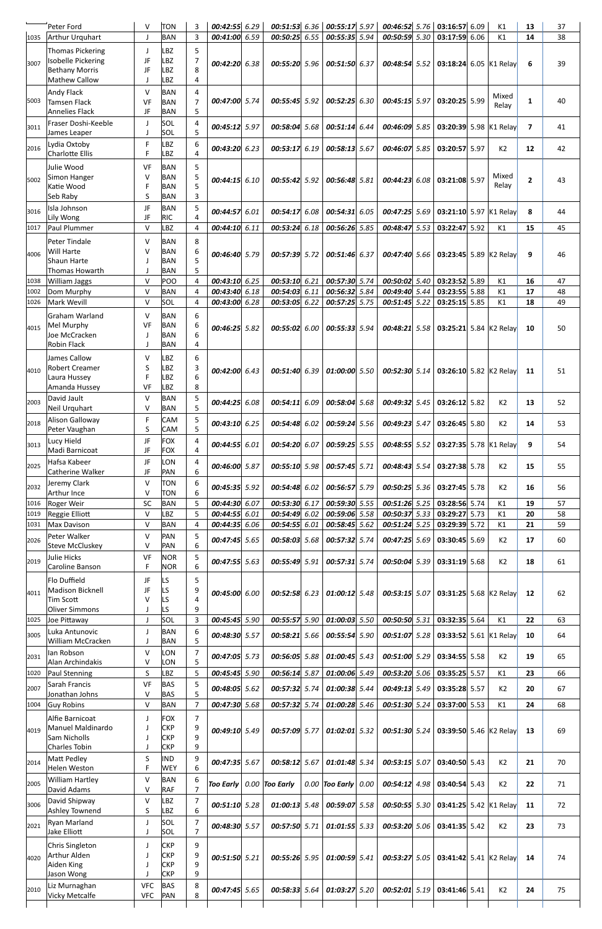|              | Peter Ford                                    | V                | <b>TON</b>               | 3                   | $00:42:55$ 6.29           |      | $00:51:53$ 6.36                |      | 00:55:17 5.97                   | 00:46:52 5.76                  | $03:16:57$ 6.09                |      | K1             | 13             | 37       |
|--------------|-----------------------------------------------|------------------|--------------------------|---------------------|---------------------------|------|--------------------------------|------|---------------------------------|--------------------------------|--------------------------------|------|----------------|----------------|----------|
| 1035         | <b>Arthur Urquhart</b>                        | $\mathsf{J}$     | <b>BAN</b>               | 3                   | 00:41:00 6.59             |      | 00:50:25                       | 6.55 | 00:55:35 5.94                   | 00:50:59 5.30                  | 03:17:59 6.06                  |      | K1             | 14             | 38       |
|              | Thomas Pickering                              | J                | LBZ                      | 5                   |                           |      |                                |      |                                 |                                |                                |      |                |                |          |
| 3007         | Isobelle Pickering                            | JF               | <b>LBZ</b>               | 7                   | 00:42:20 6.38             |      | 00:55:20 5.96                  |      | 00:51:50 6.37                   | $00:48:54$ 5.52                | 03:18:24 6.05 K1 Relay         |      |                | 6              | 39       |
|              | <b>Bethany Morris</b>                         | JF               | LBZ                      | 8                   |                           |      |                                |      |                                 |                                |                                |      |                |                |          |
|              | <b>Mathew Callow</b>                          |                  | LBZ                      | 4                   |                           |      |                                |      |                                 |                                |                                |      |                |                |          |
|              | <b>Andy Flack</b>                             | $\vee$           | <b>BAN</b>               | 4                   | 00:47:00 5.74             |      | $00:55:45$ 5.92                |      | $00:52:25$ 6.30                 | $00:45:15$ 5.97                | 03:20:25 5.99                  |      | Mixed          | 1              | 40       |
| 5003         | <b>Tamsen Flack</b><br><b>Annelies Flack</b>  | VF<br>JF         | <b>BAN</b><br><b>BAN</b> | $\overline{7}$<br>5 |                           |      |                                |      |                                 |                                |                                |      | Relay          |                |          |
|              | Fraser Doshi-Keeble                           | $\mathsf{J}$     | SOL                      | 4                   |                           |      |                                |      |                                 |                                |                                |      |                |                |          |
| 3011         | James Leaper                                  |                  | <b>SOL</b>               | 5                   | 00:45:12 5.97             |      | $00:58:04$ 5.68                |      | 00:51:14 6.44                   | $00:46:09$ 5.85                | 03:20:39 5.98                  |      | K1 Relay       | $\overline{7}$ | 41       |
| 2016         | Lydia Oxtoby                                  | F                | LBZ                      | 6                   | 00:43:20 6.23             |      | 00:53:17                       | 6.19 | 00:58:13 5.67                   | 00:46:07 5.85                  | 03:20:57 5.97                  |      | K <sub>2</sub> | 12             | 42       |
|              | <b>Charlotte Ellis</b>                        | F                | LBZ                      | 4                   |                           |      |                                |      |                                 |                                |                                |      |                |                |          |
|              | Julie Wood                                    | VF               | <b>BAN</b>               | 5                   |                           |      |                                |      |                                 |                                |                                |      |                |                |          |
| 5002         | Simon Hanger                                  | $\vee$           | <b>BAN</b>               | 5                   | $00:44:15$ 6.10           |      | $00:55:42$ 5.92                |      | $00:56:48$ 5.81                 | $00:44:23$ 6.08                | 03:21:08 5.97                  |      | Mixed          | $\mathbf{2}$   | 43       |
|              | Katie Wood<br>Seb Raby                        | F<br>S           | <b>BAN</b><br><b>BAN</b> | 5<br>3              |                           |      |                                |      |                                 |                                |                                |      | Relay          |                |          |
|              | Isla Johnson                                  | JF               | <b>BAN</b>               | 5                   |                           |      |                                |      |                                 |                                |                                |      |                |                |          |
| 3016         | Lily Wong                                     | JF               | <b>RIC</b>               | 4                   | 00:44:57                  | 6.01 | 00:54:17                       | 6.08 | 00:54:31 6.05                   | $00:47:25$ 5.69                | 03:21:10 5.97                  |      | K1 Relay       | 8              | 44       |
| 1017         | Paul Plummer                                  | $\vee$           | <b>LBZ</b>               | 4                   | 00:44:10 6.11             |      | $00:53:24$ 6.18                |      | 00:56:26 5.85                   | $00:48:47$ 5.53                | 03:22:47 5.92                  |      | K1             | 15             | 45       |
|              | <b>Peter Tindale</b>                          | $\vee$           | <b>BAN</b>               | 8                   |                           |      |                                |      |                                 |                                |                                |      |                |                |          |
| 4006         | <b>Will Harte</b>                             | V                | <b>BAN</b>               | 6                   | 00:46:40 5.79             |      | $00:57:39$ 5.72                |      | 00:51:46 6.37                   | $00:47:40$ 5.66                | 03:23:45 5.89 K2 Relay         |      |                | 9              | 46       |
|              | Shaun Harte                                   |                  | <b>BAN</b>               | 5                   |                           |      |                                |      |                                 |                                |                                |      |                |                |          |
| 1038         | <b>Thomas Howarth</b><br><b>William Jaggs</b> | $\vee$           | <b>BAN</b><br>POO        | 5<br>4              | $00:43:10$ 6.25           |      | $00:53:10$ 6.21                |      | 00:57:30 5.74                   | 00:50:02 5.40                  | 03:23:52                       | 5.89 | K1             | 16             | 47       |
| 1002         | Dom Murphy                                    | $\vee$           | <b>BAN</b>               | 4                   | 00:43:40 6.18             |      | $00:54:03$ 6.11                |      | 00:56:32 5.84                   | 00:49:40 5.44                  | $03:23:55$ 5.88                |      | K1             | 17             | 48       |
| 1026         | Mark Wevill                                   | $\vee$           | SOL                      | 4                   | 00:43:00 6.28             |      | $00:53:05$ 6.22                |      | $00:57:25$ 5.75                 | $00:51:45$ 5.22                | 03:25:15 5.85                  |      | K1             | 18             | 49       |
|              | Graham Warland                                | $\vee$           | <b>BAN</b>               | 6                   |                           |      |                                |      |                                 |                                |                                |      |                |                |          |
| 4015         | Mel Murphy                                    | VF               | <b>BAN</b>               | 6                   | $00:46:25$ 5.82           |      | $00:55:02$ 6.00                |      | 00:55:33 5.94                   | $00:48:21$ 5.58                | 03:25:21 5.84 K2 Relay         |      |                | 10             | 50       |
|              | Joe McCracken                                 |                  | <b>BAN</b>               | 6                   |                           |      |                                |      |                                 |                                |                                |      |                |                |          |
|              | <b>Robin Flack</b>                            |                  | <b>BAN</b>               | 4                   |                           |      |                                |      |                                 |                                |                                |      |                |                |          |
|              | lJames Callow                                 | V                | <b>B7</b>                | 6                   |                           |      |                                |      |                                 |                                |                                |      |                |                |          |
| 4010         | <b>Robert Creamer</b><br>Laura Hussey         | S<br>F           | LBZ<br>LBZ               | 3<br>6              | 00:42:00 6.43             |      | 00:51:40 6.39                  |      | $01:00:00$ 5.50                 | $00:52:30$ 5.14                | 03:26:10 5.82 K2 Relay         |      |                | 11             | 51       |
|              | Amanda Hussey                                 | VF               | <b>LBZ</b>               | 8                   |                           |      |                                |      |                                 |                                |                                |      |                |                |          |
| 2003         | David Jault                                   | $\vee$           | <b>BAN</b>               | 5                   | 00:44:25                  | 6.08 | 00:54:11                       | 6.09 | 00:58:04 5.68                   | $00:49:32$ 5.45                | $03:26:12$ 5.82                |      | K2             | 13             | 52       |
|              | Neil Urquhart                                 | V                | <b>BAN</b>               | 5                   |                           |      |                                |      |                                 |                                |                                |      |                |                |          |
| 2018         | <b>Alison Galloway</b>                        | $\mathsf F$      | <b>CAM</b>               | 5                   | $00:43:10$ 6.25           |      | 00:54:48 6.02                  |      | $00:59:24$ 5.56                 | $00:49:23$ 5.47                | $03:26:45$ 5.80                |      | K <sub>2</sub> | 14             | 53       |
|              | Peter Vaughan                                 | S                | <b>CAM</b>               | 5                   |                           |      |                                |      |                                 |                                |                                |      |                |                |          |
| 3013         | Lucy Hield<br>Madi Barnicoat                  | JF<br>JF         | <b>FOX</b><br><b>FOX</b> | 4<br>4              | 00:44:55 6.01             |      | 00:54:20 6.07                  |      | $00:59:25$ 5.55                 | $00:48:55$ 5.52                | 03:27:35 5.78 K1 Relay         |      |                | 9              | 54       |
|              | Hafsa Kabeer                                  | JF               | LON                      | 4                   |                           |      |                                |      |                                 |                                |                                |      |                |                |          |
| 2025         | Catherine Walker                              | JF               | PAN                      | 6                   | 00:46:00 5.87             |      | $00:55:10$ 5.98                |      | 00:57:45 5.71                   | $00:48:43$ 5.54                | 03:27:38 5.78                  |      | K2             | 15             | 55       |
| 2032         | Jeremy Clark                                  | $\vee$           | <b>TON</b>               | 6                   | 00:45:35 5.92             |      | $00:54:48$ 6.02                |      | 00:56:57 5.79                   | $00:50:25$ 5.36                | 03:27:45 5.78                  |      | K <sub>2</sub> | 16             | 56       |
|              | <b>Arthur Ince</b>                            | $\vee$           | <b>TON</b>               | 6                   |                           |      |                                |      |                                 |                                |                                |      |                |                |          |
| 1016         | Roger Weir                                    | SC               | <b>BAN</b>               | 5                   | 00:44:30 6.07             |      | 00:53:30 6.17                  |      | $00:59:30$ 5.55                 | $00:51:26$ 5.25                | 03:28:56 5.74                  |      | K1             | 19             | 57       |
| 1019<br>1031 | Reggie Elliott<br><b>Max Davison</b>          | $\vee$<br>$\vee$ | <b>LBZ</b><br><b>BAN</b> | 5<br>4              | 00:44:55 6.01<br>00:44:35 | 6.06 | 00:54:49 6.02<br>00:54:55 6.01 |      | 00:59:06 5.58<br>00:58:45 5.62  | 00:50:37 5.33<br>00:51:24 5.25 | 03:29:27 5.73<br>03:29:39 5.72 |      | K1<br>K1       | 20<br>21       | 58<br>59 |
|              | Peter Walker                                  | $\vee$           | PAN                      | 5                   |                           |      |                                |      |                                 |                                |                                |      |                |                |          |
| 2026         | Steve McCluskey                               | $\vee$           | PAN                      | 6                   | $00:47:45$ 5.65           |      | $00:58:03$ 5.68                |      | 00:57:32 5.74                   | $00:47:25$ 5.69                | 03:30:45 5.69                  |      | K <sub>2</sub> | 17             | 60       |
| 2019         | Julie Hicks                                   | VF               | <b>NOR</b>               | 5                   | $00:47:55$ 5.63           |      | 00:55:49 5.91                  |      | 00:57:31 5.74                   | 00:50:04 5.39                  | 03:31:19 5.68                  |      | K <sub>2</sub> | 18             | 61       |
|              | Caroline Banson                               | F                | <b>NOR</b>               | 6                   |                           |      |                                |      |                                 |                                |                                |      |                |                |          |
|              | Flo Duffield                                  | JF               | LS                       | 5                   |                           |      |                                |      |                                 |                                |                                |      |                |                |          |
| 4011         | <b>Madison Bicknell</b>                       | JF               | <b>LS</b>                | 9                   | 00:45:00 6.00             |      | $00:52:58$ 6.23                |      | $01:00:12$ 5.48                 | $00:53:15$ 5.07                | 03:31:25 5.68 K2 Relay         |      |                | 12             | 62       |
|              | Tim Scott<br><b>Oliver Simmons</b>            |                  | LS<br><b>LS</b>          | 4<br>9              |                           |      |                                |      |                                 |                                |                                |      |                |                |          |
| 1025         | Joe Pittaway                                  | $\mathbf{J}$     | SOL                      | 3                   | 00:45:45 5.90             |      | 00:55:57 5.90                  |      | $01:00:03$ 5.50                 | 00:50:50 5.31                  | 03:32:35 5.64                  |      | K1             | 22             | 63       |
|              | Luka Antunovic                                |                  | <b>BAN</b>               | 6                   |                           |      |                                |      |                                 |                                |                                |      |                |                |          |
| 3005         | William McCracken                             |                  | <b>BAN</b>               | 5                   | 00:48:30 5.57             |      | $00:58:21$ 5.66                |      | 00:55:54 5.90                   | $00:51:07$ 5.28                | 03:33:52 5.61 K1 Relay         |      |                | 10             | 64       |
| 2031         | lan Robson                                    | $\vee$           | LON                      | $\overline{7}$      | $00:47:05$ 5.73           |      | $00:56:05$ 5.88                |      | $01:00:45$ 5.43                 | 00:51:00 5.29                  | 03:34:55 5.58                  |      | K <sub>2</sub> | 19             | 65       |
|              | Alan Archindakis                              | $\vee$           | LON                      | 5                   |                           |      |                                |      |                                 |                                |                                |      |                |                |          |
| 1020         | Paul Stenning                                 | S                | LBZ                      | 5                   | 00:45:45 5.90             |      | 00:56:14 5.87                  |      | 01:00:06 5.49                   | 00:53:20 5.06                  | 03:35:25 5.57                  |      | K1             | 23             | 66       |
| 2007         | Sarah Francis<br>Jonathan Johns               | VF<br>V          | <b>BAS</b><br><b>BAS</b> | 5<br>5              | 00:48:05 5.62             |      | 00:57:32 5.74                  |      | 01:00:38 5.44                   | 00:49:13 5.49                  | 03:35:28 5.57                  |      | K <sub>2</sub> | 20             | 67       |
| 1004         | <b>Guy Robins</b>                             | V                | <b>BAN</b>               | 7                   | 00:47:30 5.68             |      |                                |      | $00:57:32$ 5.74 $01:00:28$ 5.46 | 00:51:30 5.24                  | 03:37:00 5.53                  |      | K1             | 24             | 68       |
|              | Alfie Barnicoat                               | J                | <b>FOX</b>               | $\overline{7}$      |                           |      |                                |      |                                 |                                |                                |      |                |                |          |
| 4019         | Manuel Maldinardo                             |                  | <b>CKP</b>               | 9                   | 00:49:10 5.49             |      |                                |      | $00:57:09$ 5.77 01:02:01 5.32   | 00:51:30 5.24                  | 03:39:50 5.46 K2 Relay         |      |                | 13             | 69       |
|              | Sam Nicholls                                  |                  | <b>CKP</b>               | 9                   |                           |      |                                |      |                                 |                                |                                |      |                |                |          |
|              | Charles Tobin                                 |                  | <b>CKP</b>               | 9                   |                           |      |                                |      |                                 |                                |                                |      |                |                |          |
| 2014         | Matt Pedley<br><b>Helen Weston</b>            | S<br>F           | <b>IND</b><br><b>WEY</b> | 9<br>6              | 00:47:35 5.67             |      | $00:58:12$ 5.67                |      | 01:01:48 5.34                   | $00:53:15$ 5.07                | 03:40:50 5.43                  |      | K2             | 21             | 70       |
|              | <b>William Hartley</b>                        | $\vee$           | <b>BAN</b>               | 6                   |                           |      |                                |      |                                 |                                |                                |      |                |                |          |
| 2005         | David Adams                                   | V                | <b>RAF</b>               | $\overline{7}$      | <b>Too Early</b>          |      | $0.00$ Too Early               |      | $0.00$ Too Early 0.00           | $00:54:12$ 4.98                | 03:40:54 5.43                  |      | K <sub>2</sub> | 22             | 71       |
| 3006         | David Shipway                                 | $\mathsf{V}$     | LBZ                      | 7                   | 00:51:10 5.28             |      | $01:00:13$ 5.48                |      | 00:59:07 5.58                   | $00:50:55$ 5.30                | 03:41:25 5.42 K1 Relay         |      |                | 11             | 72       |
|              | Ashley Townend                                | S                | <b>LBZ</b>               | 6                   |                           |      |                                |      |                                 |                                |                                |      |                |                |          |
| 2021         | <b>Ryan Marland</b><br>Jake Elliott           |                  | SOL<br>SOL               | 7<br>$\overline{7}$ | 00:48:30 5.57             |      | $00:57:50$ 5.71                |      | $01:01:55$ 5.33                 | $00:53:20$ 5.06                | 03:41:35 5.42                  |      | K2             | 23             | 73       |
|              |                                               |                  |                          |                     |                           |      |                                |      |                                 |                                |                                |      |                |                |          |
|              | Chris Singleton<br>Arthur Alden               |                  | <b>CKP</b><br><b>CKP</b> | 9<br>9              |                           |      |                                |      |                                 |                                |                                |      |                |                |          |
| 4020         | Aiden King                                    |                  | <b>CKP</b>               | 9                   | 00:51:50 5.21             |      | 00:55:26 5.95                  |      | $01:00:59$ 5.41                 | $00:53:27$ 5.05                | 03:41:42 5.41 K2 Relay         |      |                | 14             | 74       |
|              | Jason Wong                                    |                  | <b>CKP</b>               | 9                   |                           |      |                                |      |                                 |                                |                                |      |                |                |          |
| 2010         | Liz Murnaghan                                 | <b>VFC</b>       | <b>BAS</b>               | 8                   | $00:47:45$ 5.65           |      | 00:58:33 5.64                  |      | 01:03:27 5.20                   | $00:52:01$ 5.19                | 03:41:46 5.41                  |      | K2             | 24             | 75       |
|              | <b>Vicky Metcalfe</b>                         | <b>VFC</b>       | PAN                      | 8                   |                           |      |                                |      |                                 |                                |                                |      |                |                |          |